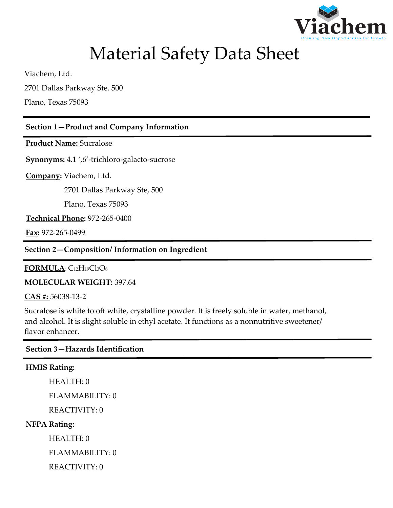

# Material Safety Data Sheet

Viachem, Ltd.

2701 Dallas Parkway Ste. 500

Plano, Texas 75093

## **Section 1—Product and Company Information**

**Product Name:** Sucralose

**Synonyms:** 4.1 ',6'-trichloro-galacto-sucrose

**Company:** Viachem, Ltd.

2701 Dallas Parkway Ste, 500

Plano, Texas 75093

**Technical Phone:** 972-265-0400

**Fax:** 972-265-0499

**Section 2—Composition/ Information on Ingredient**

**FORMULA**: C12H19Cl3O<sup>8</sup>

**MOLECULAR WEIGHT:** 397.64

**CAS #:** 56038-13-2

Sucralose is white to off white, crystalline powder. It is freely soluble in water, methanol, and alcohol. It is slight soluble in ethyl acetate. It functions as a nonnutritive sweetener/ flavor enhancer.

**Section 3—Hazards Identification**

#### **HMIS Rating:**

HEALTH: 0

FLAMMABILITY: 0

REACTIVITY: 0

#### **NFPA Rating:**

HEALTH: 0

FLAMMABILITY: 0

REACTIVITY: 0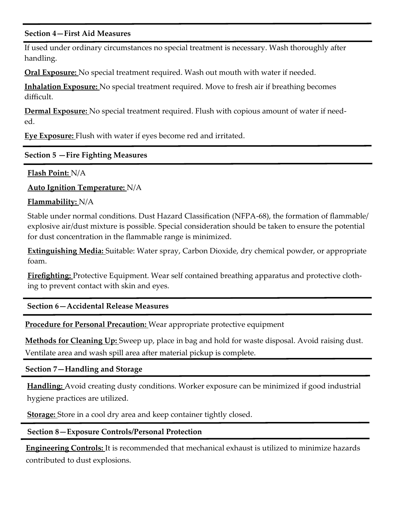#### **Section 4—First Aid Measures**

If used under ordinary circumstances no special treatment is necessary. Wash thoroughly after handling.

**Oral Exposure:** No special treatment required. Wash out mouth with water if needed.

**Inhalation Exposure:** No special treatment required. Move to fresh air if breathing becomes difficult.

**Dermal Exposure:** No special treatment required. Flush with copious amount of water if needed.

**Eye Exposure:** Flush with water if eyes become red and irritated.

## **Section 5 —Fire Fighting Measures**

**Flash Point:** N/A

**Auto Ignition Temperature:** N/A

**Flammability:** N/A

Stable under normal conditions. Dust Hazard Classification (NFPA-68), the formation of flammable/ explosive air/dust mixture is possible. Special consideration should be taken to ensure the potential for dust concentration in the flammable range is minimized.

**Extinguishing Media:** Suitable: Water spray, Carbon Dioxide, dry chemical powder, or appropriate foam.

**Firefighting:** Protective Equipment. Wear self contained breathing apparatus and protective clothing to prevent contact with skin and eyes.

**Section 6—Accidental Release Measures**

**Procedure for Personal Precaution:** Wear appropriate protective equipment

**Methods for Cleaning Up:** Sweep up, place in bag and hold for waste disposal. Avoid raising dust. Ventilate area and wash spill area after material pickup is complete.

**Section 7—Handling and Storage**

**Handling:** Avoid creating dusty conditions. Worker exposure can be minimized if good industrial hygiene practices are utilized.

**Storage:** Store in a cool dry area and keep container tightly closed.

## **Section 8—Exposure Controls/Personal Protection**

**Engineering Controls:** It is recommended that mechanical exhaust is utilized to minimize hazards contributed to dust explosions.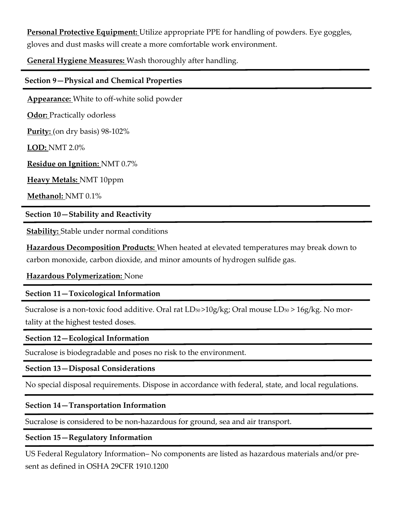**Personal Protective Equipment:** Utilize appropriate PPE for handling of powders. Eye goggles, gloves and dust masks will create a more comfortable work environment.

**General Hygiene Measures:** Wash thoroughly after handling.

#### **Section 9—Physical and Chemical Properties**

**Appearance:** White to off-white solid powder

**Odor:** Practically odorless

**Purity:** (on dry basis) 98-102%

**LOD:** NMT 2.0%

**Residue on Ignition:** NMT 0.7%

**Heavy Metals:** NMT 10ppm

**Methanol:** NMT 0.1%

**Section 10—Stability and Reactivity**

**Stability:** Stable under normal conditions

**Hazardous Decomposition Products:** When heated at elevated temperatures may break down to carbon monoxide, carbon dioxide, and minor amounts of hydrogen sulfide gas.

#### **Hazardous Polymerization:** None

## **Section 11—Toxicological Information**

Sucralose is a non-toxic food additive. Oral rat LD<sub>50</sub>>10g/kg; Oral mouse LD<sub>50</sub>>16g/kg. No mortality at the highest tested doses.

#### **Section 12—Ecological Information**

Sucralose is biodegradable and poses no risk to the environment.

## **Section 13—Disposal Considerations**

No special disposal requirements. Dispose in accordance with federal, state, and local regulations.

## **Section 14—Transportation Information**

Sucralose is considered to be non-hazardous for ground, sea and air transport.

#### **Section 15—Regulatory Information**

US Federal Regulatory Information– No components are listed as hazardous materials and/or present as defined in OSHA 29CFR 1910.1200